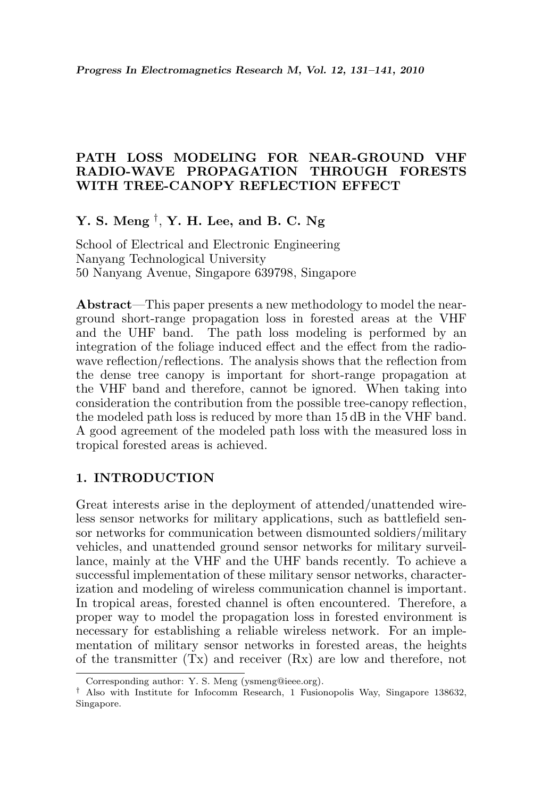### PATH LOSS MODELING FOR NEAR-GROUND VHF RADIO-WAVE PROPAGATION THROUGH FORESTS WITH TREE-CANOPY REFLECTION EFFECT

# Y. S. Meng  $^\dagger$ , Y. H. Lee, and B. C. Ng

School of Electrical and Electronic Engineering Nanyang Technological University 50 Nanyang Avenue, Singapore 639798, Singapore

Abstract—This paper presents a new methodology to model the nearground short-range propagation loss in forested areas at the VHF and the UHF band. The path loss modeling is performed by an integration of the foliage induced effect and the effect from the radiowave reflection/reflections. The analysis shows that the reflection from the dense tree canopy is important for short-range propagation at the VHF band and therefore, cannot be ignored. When taking into consideration the contribution from the possible tree-canopy reflection, the modeled path loss is reduced by more than 15 dB in the VHF band. A good agreement of the modeled path loss with the measured loss in tropical forested areas is achieved.

### 1. INTRODUCTION

Great interests arise in the deployment of attended/unattended wireless sensor networks for military applications, such as battlefield sensor networks for communication between dismounted soldiers/military vehicles, and unattended ground sensor networks for military surveillance, mainly at the VHF and the UHF bands recently. To achieve a successful implementation of these military sensor networks, characterization and modeling of wireless communication channel is important. In tropical areas, forested channel is often encountered. Therefore, a proper way to model the propagation loss in forested environment is necessary for establishing a reliable wireless network. For an implementation of military sensor networks in forested areas, the heights of the transmitter  $(Tx)$  and receiver  $(Rx)$  are low and therefore, not

Corresponding author: Y. S. Meng (ysmeng@ieee.org).

<sup>†</sup> Also with Institute for Infocomm Research, 1 Fusionopolis Way, Singapore 138632, Singapore.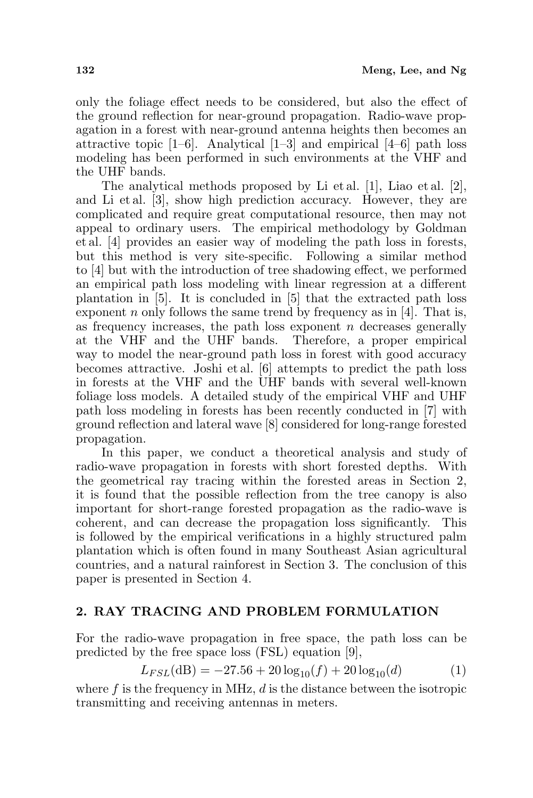only the foliage effect needs to be considered, but also the effect of the ground reflection for near-ground propagation. Radio-wave propagation in a forest with near-ground antenna heights then becomes an attractive topic  $[1-6]$ . Analytical  $[1-3]$  and empirical  $[4-6]$  path loss modeling has been performed in such environments at the VHF and the UHF bands.

The analytical methods proposed by Li et al. [1], Liao et al. [2], and Li et al. [3], show high prediction accuracy. However, they are complicated and require great computational resource, then may not appeal to ordinary users. The empirical methodology by Goldman et al. [4] provides an easier way of modeling the path loss in forests, but this method is very site-specific. Following a similar method to [4] but with the introduction of tree shadowing effect, we performed an empirical path loss modeling with linear regression at a different plantation in [5]. It is concluded in [5] that the extracted path loss exponent n only follows the same trend by frequency as in [4]. That is, as frequency increases, the path loss exponent  $n$  decreases generally at the VHF and the UHF bands. Therefore, a proper empirical way to model the near-ground path loss in forest with good accuracy becomes attractive. Joshi et al. [6] attempts to predict the path loss in forests at the VHF and the UHF bands with several well-known foliage loss models. A detailed study of the empirical VHF and UHF path loss modeling in forests has been recently conducted in [7] with ground reflection and lateral wave [8] considered for long-range forested propagation.

In this paper, we conduct a theoretical analysis and study of radio-wave propagation in forests with short forested depths. With the geometrical ray tracing within the forested areas in Section 2, it is found that the possible reflection from the tree canopy is also important for short-range forested propagation as the radio-wave is coherent, and can decrease the propagation loss significantly. This is followed by the empirical verifications in a highly structured palm plantation which is often found in many Southeast Asian agricultural countries, and a natural rainforest in Section 3. The conclusion of this paper is presented in Section 4.

## 2. RAY TRACING AND PROBLEM FORMULATION

For the radio-wave propagation in free space, the path loss can be predicted by the free space loss (FSL) equation [9],

$$
L_{FSL}(\text{dB}) = -27.56 + 20\log_{10}(f) + 20\log_{10}(d) \tag{1}
$$

where  $f$  is the frequency in MHz,  $d$  is the distance between the isotropic transmitting and receiving antennas in meters.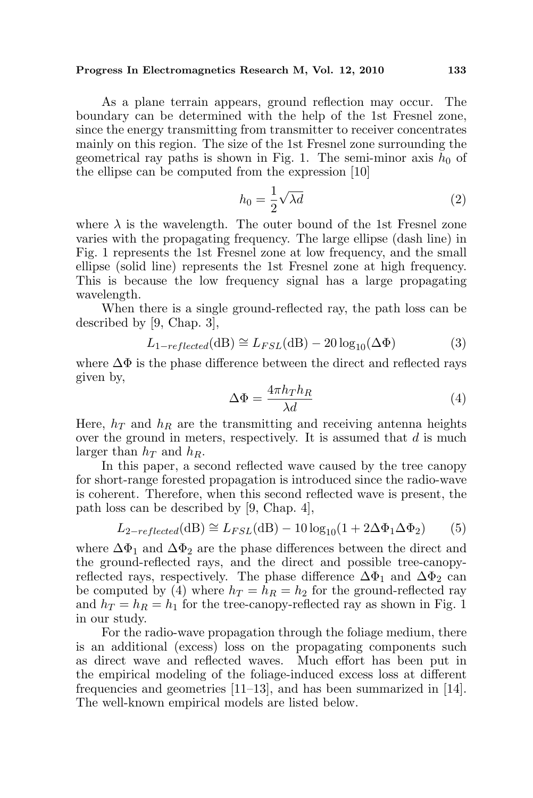#### Progress In Electromagnetics Research M, Vol. 12, 2010 133

As a plane terrain appears, ground reflection may occur. The boundary can be determined with the help of the 1st Fresnel zone, since the energy transmitting from transmitter to receiver concentrates mainly on this region. The size of the 1st Fresnel zone surrounding the geometrical ray paths is shown in Fig. 1. The semi-minor axis  $h_0$  of the ellipse can be computed from the expression [10]

$$
h_0 = \frac{1}{2}\sqrt{\lambda d} \tag{2}
$$

where  $\lambda$  is the wavelength. The outer bound of the 1st Fresnel zone varies with the propagating frequency. The large ellipse (dash line) in Fig. 1 represents the 1st Fresnel zone at low frequency, and the small ellipse (solid line) represents the 1st Fresnel zone at high frequency. This is because the low frequency signal has a large propagating wavelength.

When there is a single ground-reflected ray, the path loss can be described by [9, Chap. 3],

$$
L_{1-reflected}(\text{dB}) \cong L_{FSL}(\text{dB}) - 20\log_{10}(\Delta\Phi)
$$
 (3)

where  $\Delta\Phi$  is the phase difference between the direct and reflected rays given by,

$$
\Delta \Phi = \frac{4\pi h_T h_R}{\lambda d} \tag{4}
$$

Here,  $h_T$  and  $h_R$  are the transmitting and receiving antenna heights over the ground in meters, respectively. It is assumed that  $d$  is much larger than  $h_T$  and  $h_R$ .

In this paper, a second reflected wave caused by the tree canopy for short-range forested propagation is introduced since the radio-wave is coherent. Therefore, when this second reflected wave is present, the path loss can be described by [9, Chap. 4],

$$
L_{2-reflected}(\text{dB}) \cong L_{FSL}(\text{dB}) - 10\log_{10}(1 + 2\Delta\Phi_1\Delta\Phi_2)
$$
 (5)

where  $\Delta\Phi_1$  and  $\Delta\Phi_2$  are the phase differences between the direct and the ground-reflected rays, and the direct and possible tree-canopyreflected rays, respectively. The phase difference  $\Delta\Phi_1$  and  $\Delta\Phi_2$  can be computed by (4) where  $h_T = h_R = h_2$  for the ground-reflected ray and  $h_T = h_R = h_1$  for the tree-canopy-reflected ray as shown in Fig. 1 in our study.

For the radio-wave propagation through the foliage medium, there is an additional (excess) loss on the propagating components such as direct wave and reflected waves. Much effort has been put in the empirical modeling of the foliage-induced excess loss at different frequencies and geometries [11–13], and has been summarized in [14]. The well-known empirical models are listed below.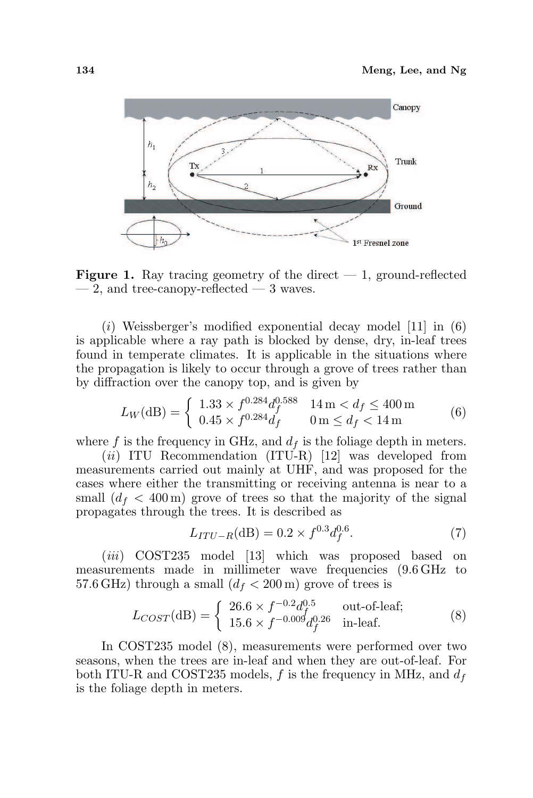

**Figure 1.** Ray tracing geometry of the direct  $-1$ , ground-reflected  $-2$ , and tree-canopy-reflected  $-3$  waves.

(i) Weissberger's modified exponential decay model  $[11]$  in  $(6)$ is applicable where a ray path is blocked by dense, dry, in-leaf trees found in temperate climates. It is applicable in the situations where the propagation is likely to occur through a grove of trees rather than by diffraction over the canopy top, and is given by

$$
L_W(\text{dB}) = \begin{cases} 1.33 \times f^{0.284} d_f^{0.588} & 14 \text{ m} < d_f \le 400 \text{ m} \\ 0.45 \times f^{0.284} d_f & 0 \text{ m} \le d_f < 14 \text{ m} \end{cases} \tag{6}
$$

where f is the frequency in GHz, and  $d_f$  is the foliage depth in meters.

 $(ii)$  ITU Recommendation (ITU-R) [12] was developed from measurements carried out mainly at UHF, and was proposed for the cases where either the transmitting or receiving antenna is near to a small  $(d_f < 400 \,\mathrm{m})$  grove of trees so that the majority of the signal propagates through the trees. It is described as

$$
L_{ITU-R}(\text{dB}) = 0.2 \times f^{0.3} d_f^{0.6}.
$$
 (7)

(*iii*) COST235 model [13] which was proposed based on measurements made in millimeter wave frequencies (9.6 GHz to 57.6 GHz) through a small  $(d_f < 200 \,\mathrm{m})$  grove of trees is

$$
L_{COST}(\text{dB}) = \begin{cases} 26.6 \times f^{-0.2} d_f^{0.5} & \text{out-of-leaf;}\\ 15.6 \times f^{-0.009} d_f^{0.26} & \text{in-leaf.} \end{cases}
$$
(8)

In COST235 model (8), measurements were performed over two seasons, when the trees are in-leaf and when they are out-of-leaf. For both ITU-R and COST235 models,  $f$  is the frequency in MHz, and  $d_f$ is the foliage depth in meters.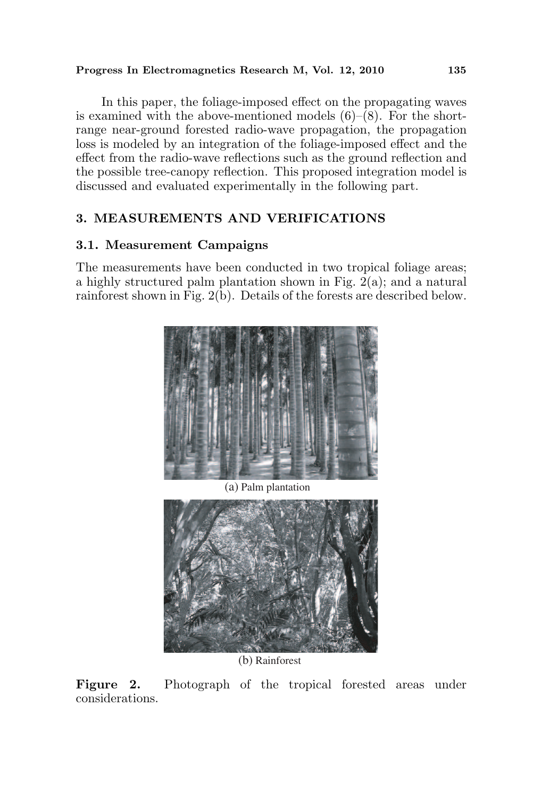### Progress In Electromagnetics Research M, Vol. 12, 2010 135

In this paper, the foliage-imposed effect on the propagating waves is examined with the above-mentioned models  $(6)$ – $(8)$ . For the shortrange near-ground forested radio-wave propagation, the propagation loss is modeled by an integration of the foliage-imposed effect and the effect from the radio-wave reflections such as the ground reflection and the possible tree-canopy reflection. This proposed integration model is discussed and evaluated experimentally in the following part.

## 3. MEASUREMENTS AND VERIFICATIONS

### 3.1. Measurement Campaigns

The measurements have been conducted in two tropical foliage areas; a highly structured palm plantation shown in Fig. 2(a); and a natural rainforest shown in Fig. 2(b). Details of the forests are described below.



(a) Palm plantation



(b) Rainforest

Figure 2. Photograph of the tropical forested areas under considerations.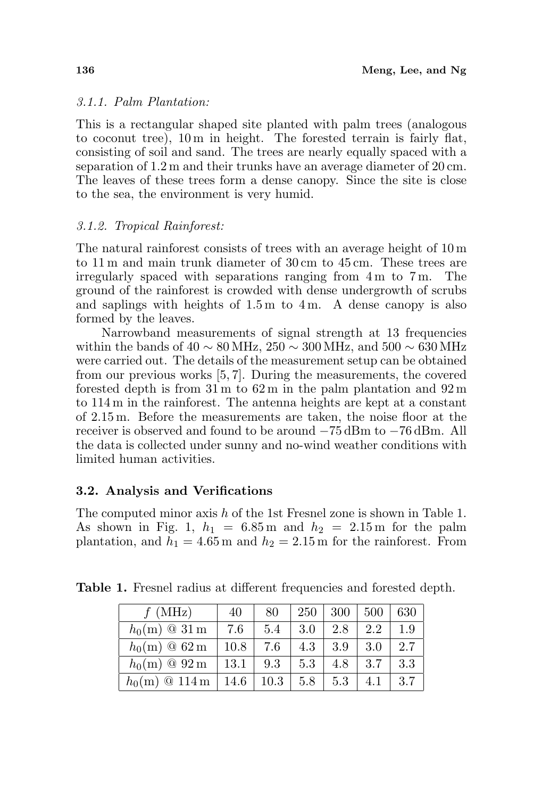### 3.1.1. Palm Plantation:

This is a rectangular shaped site planted with palm trees (analogous to coconut tree), 10 m in height. The forested terrain is fairly flat, consisting of soil and sand. The trees are nearly equally spaced with a separation of 1.2 m and their trunks have an average diameter of 20 cm. The leaves of these trees form a dense canopy. Since the site is close to the sea, the environment is very humid.

### 3.1.2. Tropical Rainforest:

The natural rainforest consists of trees with an average height of 10 m to 11 m and main trunk diameter of 30 cm to 45 cm. These trees are irregularly spaced with separations ranging from 4 m to 7 m. The ground of the rainforest is crowded with dense undergrowth of scrubs and saplings with heights of 1.5 m to 4 m. A dense canopy is also formed by the leaves.

Narrowband measurements of signal strength at 13 frequencies within the bands of  $40 \sim 80 \text{ MHz}$ ,  $250 \sim 300 \text{ MHz}$ , and  $500 \sim 630 \text{ MHz}$ were carried out. The details of the measurement setup can be obtained from our previous works [5, 7]. During the measurements, the covered forested depth is from 31 m to 62 m in the palm plantation and 92 m to 114 m in the rainforest. The antenna heights are kept at a constant of 2.15 m. Before the measurements are taken, the noise floor at the receiver is observed and found to be around −75 dBm to −76 dBm. All the data is collected under sunny and no-wind weather conditions with limited human activities.

## 3.2. Analysis and Verifications

The computed minor axis h of the 1st Fresnel zone is shown in Table 1. As shown in Fig. 1,  $h_1 = 6.85$  m and  $h_2 = 2.15$  m for the palm plantation, and  $h_1 = 4.65$  m and  $h_2 = 2.15$  m for the rainforest. From

| (MHz)                             | 40   | 80   | 250 | 300 | 500 | 630 |
|-----------------------------------|------|------|-----|-----|-----|-----|
| $h_0(m) \odot 31 \,\mathrm{m}$    | 7.6  | 5.4  | 3.0 | 2.8 | 2.2 | 1.9 |
| $h_0(m) \otimes 62 \,\mathrm{m}$  | 10.8 | 7.6  | 4.3 | 3.9 | 3.0 | 2.7 |
| $h_0(m) \otimes 92 \,\mathrm{m}$  | 13.1 | 9.3  | 5.3 | 4.8 | 3.7 | 3.3 |
| $h_0(m) \otimes 114 \,\mathrm{m}$ | 14.6 | 10.3 | 5.8 | 5.3 |     | 3.7 |

Table 1. Fresnel radius at different frequencies and forested depth.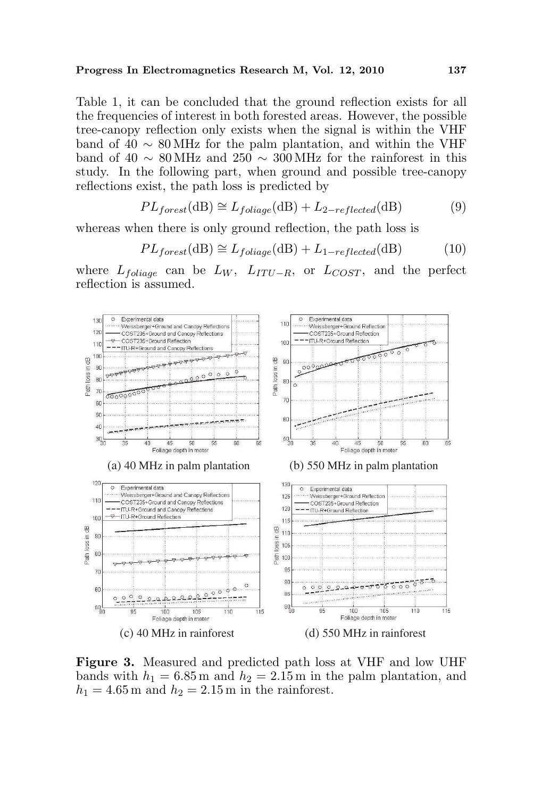#### Progress In Electromagnetics Research M, Vol. 12, 2010 137

Table 1, it can be concluded that the ground reflection exists for all the frequencies of interest in both forested areas. However, the possible tree-canopy reflection only exists when the signal is within the VHF band of 40  $\sim 80 \text{ MHz}$  for the palm plantation, and within the VHF band of 40 ∼ 80 MHz and 250 ∼ 300 MHz for the rainforest in this study. In the following part, when ground and possible tree-canopy reflections exist, the path loss is predicted by

$$
PL_{forest}(\text{dB}) \cong L_{foliage}(\text{dB}) + L_{2-reflected}(\text{dB})
$$
 (9)

whereas when there is only ground reflection, the path loss is

$$
PL_{forest}(\text{dB}) \cong L_{foliage}(\text{dB}) + L_{1-reflected}(\text{dB})
$$
 (10)

where  $L_{foliage}$  can be  $L_W$ ,  $L_{ITU-R}$ , or  $L_{COST}$ , and the perfect reflection is assumed.



Figure 3. Measured and predicted path loss at VHF and low UHF bands with  $h_1 = 6.85$  m and  $h_2 = 2.15$  m in the palm plantation, and  $h_1 = 4.65$  m and  $h_2 = 2.15$  m in the rainforest.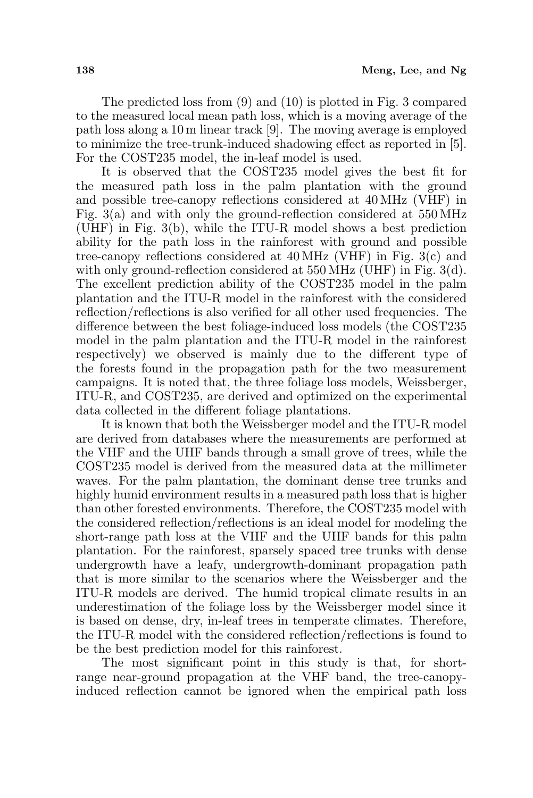The predicted loss from (9) and (10) is plotted in Fig. 3 compared to the measured local mean path loss, which is a moving average of the path loss along a 10 m linear track [9]. The moving average is employed to minimize the tree-trunk-induced shadowing effect as reported in [5]. For the COST235 model, the in-leaf model is used.

It is observed that the COST235 model gives the best fit for the measured path loss in the palm plantation with the ground and possible tree-canopy reflections considered at 40 MHz (VHF) in Fig. 3(a) and with only the ground-reflection considered at 550 MHz (UHF) in Fig. 3(b), while the ITU-R model shows a best prediction ability for the path loss in the rainforest with ground and possible tree-canopy reflections considered at 40 MHz (VHF) in Fig. 3(c) and with only ground-reflection considered at 550 MHz (UHF) in Fig. 3(d). The excellent prediction ability of the COST235 model in the palm plantation and the ITU-R model in the rainforest with the considered reflection/reflections is also verified for all other used frequencies. The difference between the best foliage-induced loss models (the COST235 model in the palm plantation and the ITU-R model in the rainforest respectively) we observed is mainly due to the different type of the forests found in the propagation path for the two measurement campaigns. It is noted that, the three foliage loss models, Weissberger, ITU-R, and COST235, are derived and optimized on the experimental data collected in the different foliage plantations.

It is known that both the Weissberger model and the ITU-R model are derived from databases where the measurements are performed at the VHF and the UHF bands through a small grove of trees, while the COST235 model is derived from the measured data at the millimeter waves. For the palm plantation, the dominant dense tree trunks and highly humid environment results in a measured path loss that is higher than other forested environments. Therefore, the COST235 model with the considered reflection/reflections is an ideal model for modeling the short-range path loss at the VHF and the UHF bands for this palm plantation. For the rainforest, sparsely spaced tree trunks with dense undergrowth have a leafy, undergrowth-dominant propagation path that is more similar to the scenarios where the Weissberger and the ITU-R models are derived. The humid tropical climate results in an underestimation of the foliage loss by the Weissberger model since it is based on dense, dry, in-leaf trees in temperate climates. Therefore, the ITU-R model with the considered reflection/reflections is found to be the best prediction model for this rainforest.

The most significant point in this study is that, for shortrange near-ground propagation at the VHF band, the tree-canopyinduced reflection cannot be ignored when the empirical path loss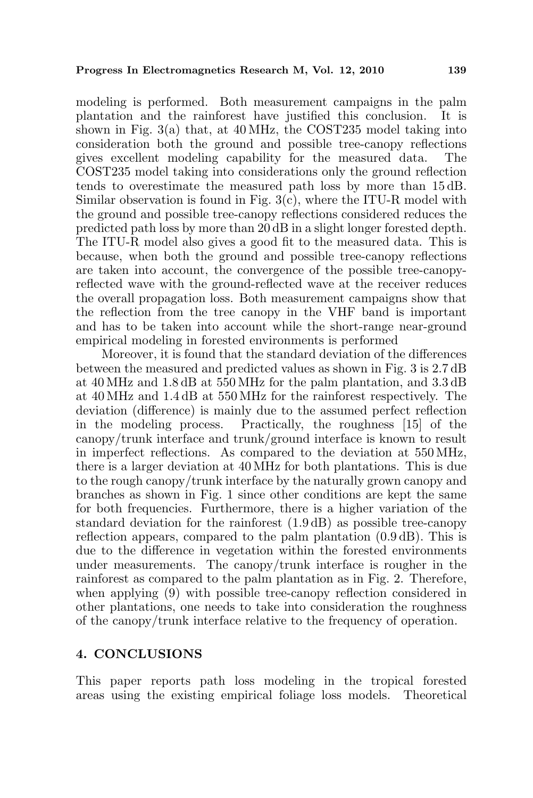modeling is performed. Both measurement campaigns in the palm plantation and the rainforest have justified this conclusion. It is shown in Fig. 3(a) that, at 40 MHz, the COST235 model taking into consideration both the ground and possible tree-canopy reflections gives excellent modeling capability for the measured data. The COST235 model taking into considerations only the ground reflection tends to overestimate the measured path loss by more than 15 dB. Similar observation is found in Fig. 3(c), where the ITU-R model with the ground and possible tree-canopy reflections considered reduces the predicted path loss by more than 20 dB in a slight longer forested depth. The ITU-R model also gives a good fit to the measured data. This is because, when both the ground and possible tree-canopy reflections are taken into account, the convergence of the possible tree-canopyreflected wave with the ground-reflected wave at the receiver reduces the overall propagation loss. Both measurement campaigns show that the reflection from the tree canopy in the VHF band is important and has to be taken into account while the short-range near-ground empirical modeling in forested environments is performed

Moreover, it is found that the standard deviation of the differences between the measured and predicted values as shown in Fig. 3 is 2.7 dB at 40 MHz and 1.8 dB at 550 MHz for the palm plantation, and 3.3 dB at 40 MHz and 1.4 dB at 550 MHz for the rainforest respectively. The deviation (difference) is mainly due to the assumed perfect reflection in the modeling process. Practically, the roughness [15] of the canopy/trunk interface and trunk/ground interface is known to result in imperfect reflections. As compared to the deviation at 550 MHz, there is a larger deviation at 40 MHz for both plantations. This is due to the rough canopy/trunk interface by the naturally grown canopy and branches as shown in Fig. 1 since other conditions are kept the same for both frequencies. Furthermore, there is a higher variation of the standard deviation for the rainforest (1.9 dB) as possible tree-canopy reflection appears, compared to the palm plantation (0.9 dB). This is due to the difference in vegetation within the forested environments under measurements. The canopy/trunk interface is rougher in the rainforest as compared to the palm plantation as in Fig. 2. Therefore, when applying (9) with possible tree-canopy reflection considered in other plantations, one needs to take into consideration the roughness of the canopy/trunk interface relative to the frequency of operation.

### 4. CONCLUSIONS

This paper reports path loss modeling in the tropical forested areas using the existing empirical foliage loss models. Theoretical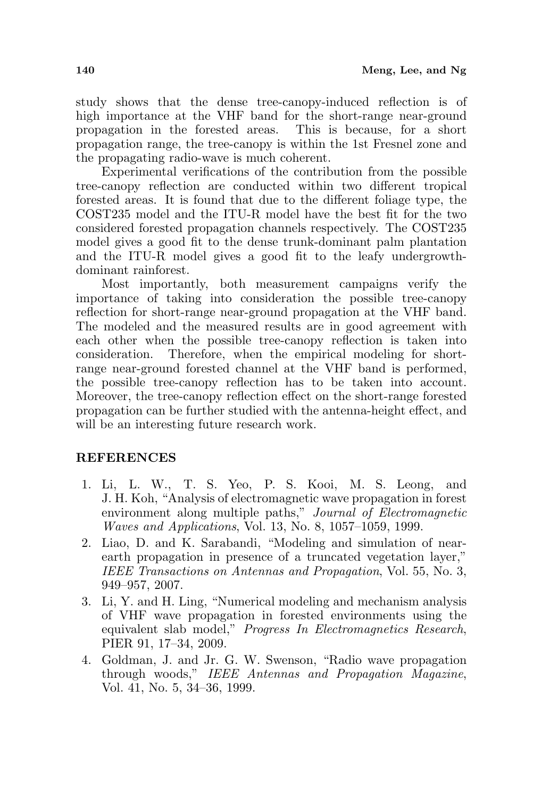study shows that the dense tree-canopy-induced reflection is of high importance at the VHF band for the short-range near-ground propagation in the forested areas. This is because, for a short propagation range, the tree-canopy is within the 1st Fresnel zone and the propagating radio-wave is much coherent.

Experimental verifications of the contribution from the possible tree-canopy reflection are conducted within two different tropical forested areas. It is found that due to the different foliage type, the COST235 model and the ITU-R model have the best fit for the two considered forested propagation channels respectively. The COST235 model gives a good fit to the dense trunk-dominant palm plantation and the ITU-R model gives a good fit to the leafy undergrowthdominant rainforest.

Most importantly, both measurement campaigns verify the importance of taking into consideration the possible tree-canopy reflection for short-range near-ground propagation at the VHF band. The modeled and the measured results are in good agreement with each other when the possible tree-canopy reflection is taken into consideration. Therefore, when the empirical modeling for shortrange near-ground forested channel at the VHF band is performed, the possible tree-canopy reflection has to be taken into account. Moreover, the tree-canopy reflection effect on the short-range forested propagation can be further studied with the antenna-height effect, and will be an interesting future research work.

## **REFERENCES**

- 1. Li, L. W., T. S. Yeo, P. S. Kooi, M. S. Leong, and J. H. Koh, "Analysis of electromagnetic wave propagation in forest environment along multiple paths," Journal of Electromagnetic Waves and Applications, Vol. 13, No. 8, 1057–1059, 1999.
- 2. Liao, D. and K. Sarabandi, "Modeling and simulation of nearearth propagation in presence of a truncated vegetation layer," IEEE Transactions on Antennas and Propagation, Vol. 55, No. 3, 949–957, 2007.
- 3. Li, Y. and H. Ling, "Numerical modeling and mechanism analysis of VHF wave propagation in forested environments using the equivalent slab model," Progress In Electromagnetics Research, PIER 91, 17–34, 2009.
- 4. Goldman, J. and Jr. G. W. Swenson, "Radio wave propagation through woods," IEEE Antennas and Propagation Magazine, Vol. 41, No. 5, 34–36, 1999.